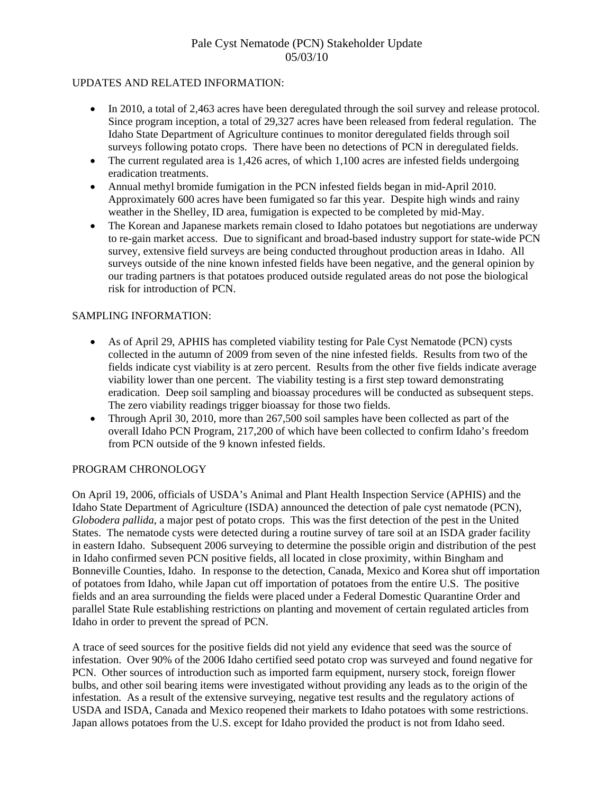# Pale Cyst Nematode (PCN) Stakeholder Update 05/03/10

### UPDATES AND RELATED INFORMATION:

- In 2010, a total of 2,463 acres have been deregulated through the soil survey and release protocol. Since program inception, a total of 29,327 acres have been released from federal regulation. The Idaho State Department of Agriculture continues to monitor deregulated fields through soil surveys following potato crops. There have been no detections of PCN in deregulated fields.
- The current regulated area is 1,426 acres, of which 1,100 acres are infested fields undergoing eradication treatments.
- Annual methyl bromide fumigation in the PCN infested fields began in mid-April 2010. Approximately 600 acres have been fumigated so far this year. Despite high winds and rainy weather in the Shelley, ID area, fumigation is expected to be completed by mid-May.
- The Korean and Japanese markets remain closed to Idaho potatoes but negotiations are underway to re-gain market access. Due to significant and broad-based industry support for state-wide PCN survey, extensive field surveys are being conducted throughout production areas in Idaho. All surveys outside of the nine known infested fields have been negative, and the general opinion by our trading partners is that potatoes produced outside regulated areas do not pose the biological risk for introduction of PCN

### SAMPLING INFORMATION:

- As of April 29, APHIS has completed viability testing for Pale Cyst Nematode (PCN) cysts collected in the autumn of 2009 from seven of the nine infested fields. Results from two of the fields indicate cyst viability is at zero percent. Results from the other five fields indicate average viability lower than one percent. The viability testing is a first step toward demonstrating eradication. Deep soil sampling and bioassay procedures will be conducted as subsequent steps. The zero viability readings trigger bioassay for those two fields.
- Through April 30, 2010, more than 267,500 soil samples have been collected as part of the overall Idaho PCN Program, 217,200 of which have been collected to confirm Idaho's freedom from PCN outside of the 9 known infested fields.

## PROGRAM CHRONOLOGY

On April 19, 2006, officials of USDA's Animal and Plant Health Inspection Service (APHIS) and the Idaho State Department of Agriculture (ISDA) announced the detection of pale cyst nematode (PCN), *Globodera pallida*, a major pest of potato crops. This was the first detection of the pest in the United States. The nematode cysts were detected during a routine survey of tare soil at an ISDA grader facility in eastern Idaho. Subsequent 2006 surveying to determine the possible origin and distribution of the pest in Idaho confirmed seven PCN positive fields, all located in close proximity, within Bingham and Bonneville Counties, Idaho. In response to the detection, Canada, Mexico and Korea shut off importation of potatoes from Idaho, while Japan cut off importation of potatoes from the entire U.S. The positive fields and an area surrounding the fields were placed under a Federal Domestic Quarantine Order and parallel State Rule establishing restrictions on planting and movement of certain regulated articles from Idaho in order to prevent the spread of PCN.

A trace of seed sources for the positive fields did not yield any evidence that seed was the source of infestation. Over 90% of the 2006 Idaho certified seed potato crop was surveyed and found negative for PCN. Other sources of introduction such as imported farm equipment, nursery stock, foreign flower bulbs, and other soil bearing items were investigated without providing any leads as to the origin of the infestation. As a result of the extensive surveying, negative test results and the regulatory actions of USDA and ISDA, Canada and Mexico reopened their markets to Idaho potatoes with some restrictions. Japan allows potatoes from the U.S. except for Idaho provided the product is not from Idaho seed.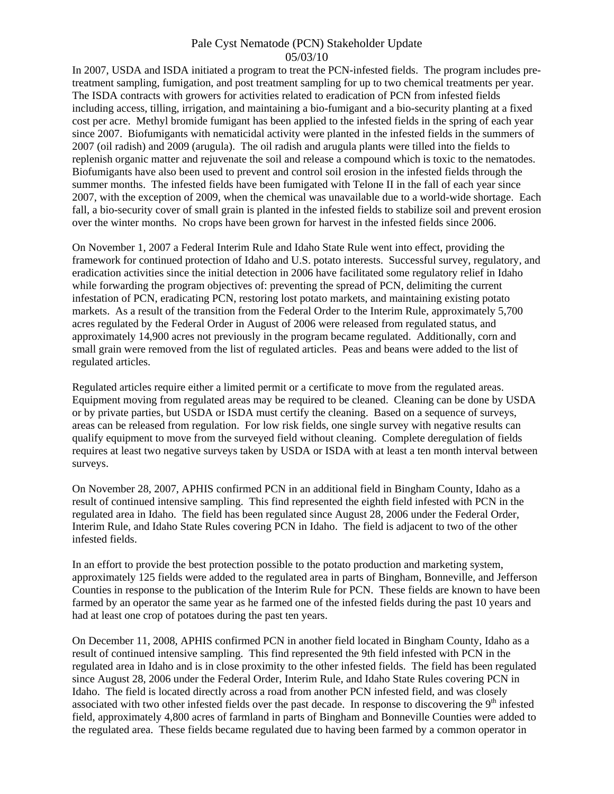### Pale Cyst Nematode (PCN) Stakeholder Update 05/03/10

In 2007, USDA and ISDA initiated a program to treat the PCN-infested fields. The program includes pretreatment sampling, fumigation, and post treatment sampling for up to two chemical treatments per year. The ISDA contracts with growers for activities related to eradication of PCN from infested fields including access, tilling, irrigation, and maintaining a bio-fumigant and a bio-security planting at a fixed cost per acre. Methyl bromide fumigant has been applied to the infested fields in the spring of each year since 2007. Biofumigants with nematicidal activity were planted in the infested fields in the summers of 2007 (oil radish) and 2009 (arugula). The oil radish and arugula plants were tilled into the fields to replenish organic matter and rejuvenate the soil and release a compound which is toxic to the nematodes. Biofumigants have also been used to prevent and control soil erosion in the infested fields through the summer months. The infested fields have been fumigated with Telone II in the fall of each year since 2007, with the exception of 2009, when the chemical was unavailable due to a world-wide shortage. Each fall, a bio-security cover of small grain is planted in the infested fields to stabilize soil and prevent erosion over the winter months. No crops have been grown for harvest in the infested fields since 2006.

On November 1, 2007 a Federal Interim Rule and Idaho State Rule went into effect, providing the framework for continued protection of Idaho and U.S. potato interests. Successful survey, regulatory, and eradication activities since the initial detection in 2006 have facilitated some regulatory relief in Idaho while forwarding the program objectives of: preventing the spread of PCN, delimiting the current infestation of PCN, eradicating PCN, restoring lost potato markets, and maintaining existing potato markets. As a result of the transition from the Federal Order to the Interim Rule, approximately 5,700 acres regulated by the Federal Order in August of 2006 were released from regulated status, and approximately 14,900 acres not previously in the program became regulated. Additionally, corn and small grain were removed from the list of regulated articles. Peas and beans were added to the list of regulated articles.

Regulated articles require either a limited permit or a certificate to move from the regulated areas. Equipment moving from regulated areas may be required to be cleaned. Cleaning can be done by USDA or by private parties, but USDA or ISDA must certify the cleaning. Based on a sequence of surveys, areas can be released from regulation. For low risk fields, one single survey with negative results can qualify equipment to move from the surveyed field without cleaning. Complete deregulation of fields requires at least two negative surveys taken by USDA or ISDA with at least a ten month interval between surveys.

On November 28, 2007, APHIS confirmed PCN in an additional field in Bingham County, Idaho as a result of continued intensive sampling. This find represented the eighth field infested with PCN in the regulated area in Idaho. The field has been regulated since August 28, 2006 under the Federal Order, Interim Rule, and Idaho State Rules covering PCN in Idaho. The field is adjacent to two of the other infested fields.

In an effort to provide the best protection possible to the potato production and marketing system, approximately 125 fields were added to the regulated area in parts of Bingham, Bonneville, and Jefferson Counties in response to the publication of the Interim Rule for PCN. These fields are known to have been farmed by an operator the same year as he farmed one of the infested fields during the past 10 years and had at least one crop of potatoes during the past ten years.

On December 11, 2008, APHIS confirmed PCN in another field located in Bingham County, Idaho as a result of continued intensive sampling. This find represented the 9th field infested with PCN in the regulated area in Idaho and is in close proximity to the other infested fields. The field has been regulated since August 28, 2006 under the Federal Order, Interim Rule, and Idaho State Rules covering PCN in Idaho. The field is located directly across a road from another PCN infested field, and was closely associated with two other infested fields over the past decade. In response to discovering the 9<sup>th</sup> infested field, approximately 4,800 acres of farmland in parts of Bingham and Bonneville Counties were added to the regulated area. These fields became regulated due to having been farmed by a common operator in